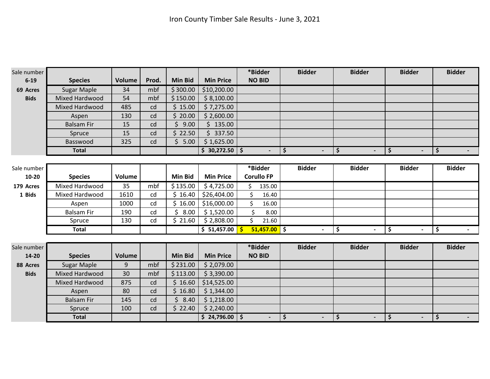| Sale number |                    |               |       |                |                  | *Bidder               | <b>Bidder</b>                 | <b>Bidder</b>                         | <b>Bidder</b>                         | <b>Bidder</b>        |
|-------------|--------------------|---------------|-------|----------------|------------------|-----------------------|-------------------------------|---------------------------------------|---------------------------------------|----------------------|
| $6 - 19$    | <b>Species</b>     | <b>Volume</b> | Prod. | <b>Min Bid</b> | <b>Min Price</b> | <b>NO BID</b>         |                               |                                       |                                       |                      |
| 69 Acres    | Sugar Maple        | 34            | mbf   | \$300.00       | \$10,200.00      |                       |                               |                                       |                                       |                      |
| <b>Bids</b> | Mixed Hardwood     | 54            | mbf   | \$150.00       | \$8,100.00       |                       |                               |                                       |                                       |                      |
|             | Mixed Hardwood     | 485           | cd    | \$15.00        | \$7,275.00       |                       |                               |                                       |                                       |                      |
|             | Aspen              | 130           | cd    | \$20.00        | \$2,600.00       |                       |                               |                                       |                                       |                      |
|             | <b>Balsam Fir</b>  | 15            | cd    | \$<br>9.00     | \$135.00         |                       |                               |                                       |                                       |                      |
|             | Spruce             | 15            | cd    | \$22.50        | \$337.50         |                       |                               |                                       |                                       |                      |
|             | Basswood           | 325           | cd    | \$5.00         | \$1,625.00       |                       |                               |                                       |                                       |                      |
|             | <b>Total</b>       |               |       |                | $$30,272.50$ $$$ | $\blacksquare$        | $\ddot{\bm{\zeta}}$<br>$\sim$ | $\ddot{\bm{\zeta}}$<br>$\blacksquare$ | ∣ \$<br>$\sim$                        | $\sqrt{2}$<br>$\sim$ |
|             |                    |               |       |                |                  |                       |                               |                                       |                                       |                      |
| Sale number |                    |               |       |                |                  | *Bidder               | <b>Bidder</b>                 | <b>Bidder</b>                         | <b>Bidder</b>                         | <b>Bidder</b>        |
| $10 - 20$   | <b>Species</b>     | Volume        |       | <b>Min Bid</b> | <b>Min Price</b> | <b>Corullo FP</b>     |                               |                                       |                                       |                      |
| 179 Acres   | Mixed Hardwood     | 35            | mbf   | \$135.00       | \$4,725.00       | \$<br>135.00          |                               |                                       |                                       |                      |
| 1 Bids      | Mixed Hardwood     | 1610          | cd    | \$16.40        | \$26,404.00      | \$<br>16.40           |                               |                                       |                                       |                      |
|             | Aspen              | 1000          | cd    | \$16.00        | \$16,000.00      | \$<br>16.00           |                               |                                       |                                       |                      |
|             | <b>Balsam Fir</b>  | 190           | cd    | 8.00<br>\$     | \$1,520.00       | \$<br>8.00            |                               |                                       |                                       |                      |
|             | Spruce             | 130           | cd    | \$21.60        | \$2,808.00       | \$<br>21.60           |                               |                                       |                                       |                      |
|             | <b>Total</b>       |               |       |                | \$ 51,457.00     | $51,457.00$ \$<br>-\$ | $\sim$                        | \$<br>$\blacksquare$                  | $\ddot{\bm{\zeta}}$<br>$\blacksquare$ | \$                   |
|             |                    |               |       |                |                  |                       |                               |                                       |                                       |                      |
| Sale number |                    |               |       |                |                  | *Bidder               | <b>Bidder</b>                 | <b>Bidder</b>                         | <b>Bidder</b>                         | <b>Bidder</b>        |
| $14 - 20$   | <b>Species</b>     | <b>Volume</b> |       | <b>Min Bid</b> | <b>Min Price</b> | <b>NO BID</b>         |                               |                                       |                                       |                      |
| 88 Acres    | <b>Sugar Maple</b> | 9             | mbf   | \$231.00       | \$2,079.00       |                       |                               |                                       |                                       |                      |
| <b>Bids</b> | Mixed Hardwood     | 30            | mbf   | \$113.00       | \$3,390.00       |                       |                               |                                       |                                       |                      |
|             | Mixed Hardwood     | 875           | cd    | \$16.60        | \$14,525.00      |                       |                               |                                       |                                       |                      |
|             | Aspen              | 80            | cd    | \$16.80        | \$1,344.00       |                       |                               |                                       |                                       |                      |
|             | <b>Balsam Fir</b>  | 145           | cd    | \$<br>8.40     | \$1,218.00       |                       |                               |                                       |                                       |                      |
|             | Spruce             | 100           | cd    | \$22.40        | \$2,240.00       |                       |                               |                                       |                                       |                      |
|             | <b>Total</b>       |               |       |                | $$24,796.00$ $$$ |                       | \$                            | \$<br>$\blacksquare$                  | $\overline{\phantom{a}}$              | \$                   |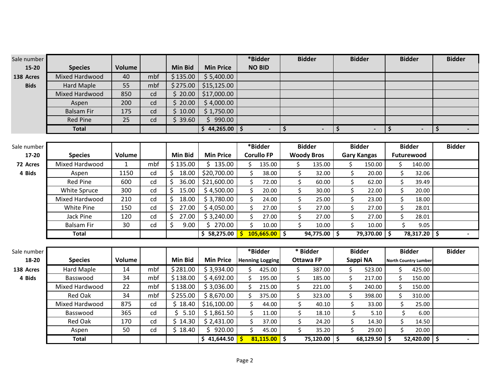| Sale number |                       |               |     |                |                  | *Bidder                |                          | <b>Bidder</b>     |         | <b>Bidder</b>      |         | <b>Bidder</b>               | <b>Bidder</b>  |
|-------------|-----------------------|---------------|-----|----------------|------------------|------------------------|--------------------------|-------------------|---------|--------------------|---------|-----------------------------|----------------|
| $15 - 20$   | <b>Species</b>        | <b>Volume</b> |     | <b>Min Bid</b> | <b>Min Price</b> | <b>NO BID</b>          |                          |                   |         |                    |         |                             |                |
| 138 Acres   | Mixed Hardwood        | 40            | mbf | \$135.00       | \$5,400.00       |                        |                          |                   |         |                    |         |                             |                |
| <b>Bids</b> | <b>Hard Maple</b>     | 55            | mbf | \$275.00       | \$15,125.00      |                        |                          |                   |         |                    |         |                             |                |
|             | <b>Mixed Hardwood</b> | 850           | cd  | \$20.00        | \$17,000.00      |                        |                          |                   |         |                    |         |                             |                |
|             | Aspen                 | 200           | cd  | \$20.00        | \$4,000.00       |                        |                          |                   |         |                    |         |                             |                |
|             | <b>Balsam Fir</b>     | 175           | cd  | \$10.00        | \$1,750.00       |                        |                          |                   |         |                    |         |                             |                |
|             | <b>Red Pine</b>       | 25            | cd  | \$39.60        | \$990.00         |                        |                          |                   |         |                    |         |                             |                |
|             | <b>Total</b>          |               |     |                | $$44,265.00$ $$$ | $\overline{a}$         | \$                       | $\blacksquare$    | \$      | $\blacksquare$     | \$      |                             | \$             |
|             |                       |               |     |                |                  |                        |                          |                   |         |                    |         |                             |                |
| Sale number |                       |               |     |                |                  | *Bidder                |                          | <b>Bidder</b>     |         | <b>Bidder</b>      |         | <b>Bidder</b>               | <b>Bidder</b>  |
| 17-20       | <b>Species</b>        | <b>Volume</b> |     | <b>Min Bid</b> | <b>Min Price</b> | <b>Corullo FP</b>      |                          | <b>Woody Bros</b> |         | <b>Gary Kangas</b> |         | Futurewood                  |                |
| 72 Acres    | Mixed Hardwood        | $\mathbf{1}$  | mbf | \$135.00       | \$135.00         | \$<br>135.00           | \$                       | 135.00            | \$      | 150.00             | \$      | 140.00                      |                |
| 4 Bids      | Aspen                 | 1150          | cd  | \$<br>18.00    | \$20,700.00      | $\zeta$<br>38.00       |                          | \$<br>32.00       | $\zeta$ | 20.00              | \$      | 32.06                       |                |
|             | <b>Red Pine</b>       | 600           | cd  | \$<br>36.00    | \$21,600.00      | \$<br>72.00            |                          | \$<br>60.00       | \$      | 62.00              | \$      | 39.49                       |                |
|             | White Spruce          | 300           | cd  | \$<br>15.00    | \$4,500.00       | \$<br>20.00            |                          | \$<br>30.00       | \$      | 22.00              | \$      | 20.00                       |                |
|             | Mixed Hardwood        | 210           | cd  | Ś.<br>18.00    | \$3,780.00       | $\zeta$<br>24.00       |                          | \$<br>25.00       | \$      | 23.00              | \$      | 18.00                       |                |
|             | White Pine            | 150           | cd  | \$<br>27.00    | \$4,050.00       | $\zeta$<br>27.00       |                          | \$<br>27.00       | $\zeta$ | 27.00              | $\zeta$ | 28.01                       |                |
|             | Jack Pine             | 120           | cd  | \$<br>27.00    | \$3,240.00       | \$<br>27.00            |                          | \$<br>27.00       | \$      | 27.00              | Ś.      | 28.01                       |                |
|             | <b>Balsam Fir</b>     | 30            | cd  | \$<br>9.00     | \$270.00         | \$<br>10.00            |                          | \$<br>10.00       | $\zeta$ | 10.00              | \$      | 9.05                        |                |
|             | <b>Total</b>          |               |     |                | \$58,275.00      | 105,665.00<br>Ŝ.       | $\overline{\phantom{a}}$ | 94,775.00         | 5 ا     | 79,370.00 \$       |         | 78,317.20 \$                |                |
|             |                       |               |     |                |                  |                        |                          |                   |         |                    |         |                             |                |
| Sale number |                       |               |     |                |                  | *Bidder                |                          | * Bidder          |         | <b>Bidder</b>      |         | <b>Bidder</b>               | <b>Bidder</b>  |
| 18-20       | <b>Species</b>        | <b>Volume</b> |     | <b>Min Bid</b> | <b>Min Price</b> | <b>Henning Logging</b> |                          | <b>Ottawa FP</b>  |         | Sappi NA           |         | <b>North Country Lumber</b> |                |
| 138 Acres   | <b>Hard Maple</b>     | 14            | mbf | \$281.00       | \$3,934.00       | \$<br>425.00           | \$                       | 387.00            | \$      | 523.00             | \$      | 425.00                      |                |
| 4 Bids      | Basswood              | 34            | mbf | \$138.00       | \$4,692.00       | \$<br>195.00           | \$                       | 185.00            | \$      | 217.00             | \$      | 150.00                      |                |
|             | Mixed Hardwood        | 22            | mbf | \$138.00       | \$3,036.00       | \$<br>215.00           | \$                       | 221.00            | \$      | 240.00             | \$      | 150.00                      |                |
|             | <b>Red Oak</b>        | 34            | mbf | \$255.00       | \$8,670.00       | \$<br>375.00           | \$                       | 323.00            | \$      | 398.00             | \$      | 310.00                      |                |
|             | Mixed Hardwood        | 875           | cd  | \$18.40        | \$16,100.00      | $\zeta$<br>44.00       |                          | \$<br>40.10       | $\zeta$ | 33.00              | $\zeta$ | 25.00                       |                |
|             | Basswood              | 365           | cd  | \$5.10         | \$1,861.50       | \$<br>11.00            |                          | \$<br>18.10       | \$      | 5.10               | \$      | 6.00                        |                |
|             | Red Oak               | 170           | cd  | \$14.30        | \$2,431.00       | \$<br>37.00            |                          | \$<br>24.20       | \$      | 14.30              | \$      | 14.50                       |                |
|             | Aspen                 | 50            | cd  | \$18.40        | \$920.00         | \$<br>45.00            |                          | \$<br>35.20       | \$      | 29.00              | Ś.      | 20.00                       |                |
|             | <b>Total</b>          |               |     |                | \$41,644.50      | 81,115.00<br>Ś.        | ه                        | 75,120.00         | ه       | $68,129.50$ \$     |         | 52,420.00 \$                | $\blacksquare$ |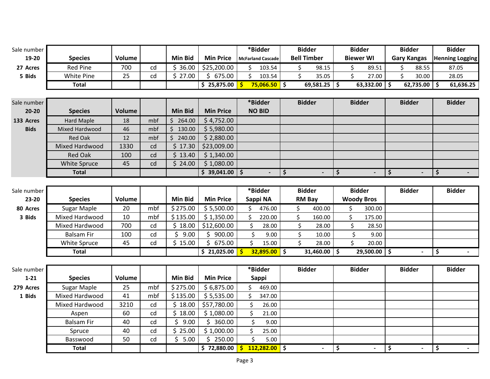| Sale number |                    |               |     |                |                  |                     | *Bidder                   |         | <b>Bidder</b>      |                |                          | <b>Bidder</b>        | <b>Bidder</b>      | <b>Bidder</b>          |
|-------------|--------------------|---------------|-----|----------------|------------------|---------------------|---------------------------|---------|--------------------|----------------|--------------------------|----------------------|--------------------|------------------------|
| 19-20       | <b>Species</b>     | <b>Volume</b> |     | <b>Min Bid</b> | <b>Min Price</b> |                     | <b>McFarland Cascade</b>  |         | <b>Bell Timber</b> |                |                          | <b>Biewer WI</b>     | <b>Gary Kangas</b> | <b>Henning Logging</b> |
| 27 Acres    | <b>Red Pine</b>    | 700           | cd  | \$36.00        | \$25,200.00      | \$                  | 103.54                    |         | \$                 | 98.15          |                          | \$<br>89.51          | \$<br>88.55        | 87.05                  |
| 5 Bids      | White Pine         | 25            | cd  | \$27.00        | \$675.00         | \$                  | 103.54                    |         | \$                 | 35.05          |                          | $\mathsf S$<br>27.00 | \$<br>30.00        | 28.05                  |
|             | <b>Total</b>       |               |     |                | \$25,875.00      | Ŝ.                  | <mark>75,066.50</mark> \$ |         |                    | 69,581.25      | $\ddot{\bm{\zeta}}$      | $63,332.00$ \$       | 62,735.00          | \$<br>61,636.25        |
|             |                    |               |     |                |                  |                     |                           |         |                    |                |                          |                      |                    |                        |
| Sale number |                    |               |     |                |                  |                     | *Bidder                   |         | <b>Bidder</b>      |                |                          | <b>Bidder</b>        | <b>Bidder</b>      | <b>Bidder</b>          |
| $20 - 20$   | <b>Species</b>     | <b>Volume</b> |     | <b>Min Bid</b> | <b>Min Price</b> |                     | <b>NO BID</b>             |         |                    |                |                          |                      |                    |                        |
| 133 Acres   | <b>Hard Maple</b>  | 18            | mbf | \$264.00       | \$4,752.00       |                     |                           |         |                    |                |                          |                      |                    |                        |
| <b>Bids</b> | Mixed Hardwood     | 46            | mbf | \$130.00       | \$5,980.00       |                     |                           |         |                    |                |                          |                      |                    |                        |
|             | <b>Red Oak</b>     | 12            | mbf | \$240.00       | \$2,880.00       |                     |                           |         |                    |                |                          |                      |                    |                        |
|             | Mixed Hardwood     | 1330          | cd  | \$17.30        | \$23,009.00      |                     |                           |         |                    |                |                          |                      |                    |                        |
|             | <b>Red Oak</b>     | 100           | cd  | \$13.40        | \$1,340.00       |                     |                           |         |                    |                |                          |                      |                    |                        |
|             | White Spruce       | 45            | cd  | \$24.00        | \$1,080.00       |                     |                           |         |                    |                |                          |                      |                    |                        |
|             | <b>Total</b>       |               |     |                | \$39,041.00      | $\ddot{\bm{\zeta}}$ |                           | $\zeta$ |                    |                | \$                       |                      | \$                 | \$                     |
|             |                    |               |     |                |                  |                     |                           |         |                    |                |                          |                      |                    |                        |
| Sale number |                    |               |     |                |                  |                     | *Bidder                   |         | <b>Bidder</b>      |                |                          | <b>Bidder</b>        | <b>Bidder</b>      | <b>Bidder</b>          |
| 23-20       | <b>Species</b>     | Volume        |     | <b>Min Bid</b> | <b>Min Price</b> |                     | Sappi NA                  |         | <b>RM Bay</b>      |                |                          | <b>Woody Bros</b>    |                    |                        |
| 80 Acres    | <b>Sugar Maple</b> | 20            | mbf | \$275.00       | \$5,500.00       | \$                  | 476.00                    |         | \$                 | 400.00         | \$                       | 300.00               |                    |                        |
| 3 Bids      | Mixed Hardwood     | 10            | mbf | \$135.00       | \$1,350.00       | \$                  | 220.00                    |         | \$                 | 160.00         | \$                       | 175.00               |                    |                        |
|             | Mixed Hardwood     | 700           | cd  | \$18.00        | \$12,600.00      | \$                  | 28.00                     |         | \$                 | 28.00          |                          | \$<br>28.50          |                    |                        |
|             | <b>Balsam Fir</b>  | 100           | cd  | \$9.00         | \$900.00         | \$                  | 9.00                      |         | \$                 | 10.00          |                          | \$<br>9.00           |                    |                        |
|             | White Spruce       | 45            | cd  | \$15.00        | \$675.00         | \$                  | 15.00                     |         | \$                 | 28.00          |                          | \$<br>20.00          |                    |                        |
|             | <b>Total</b>       |               |     |                | \$21,025.00      |                     | $32,895.00$ \$            |         |                    | 31,460.00      | $\overline{\phantom{a}}$ | $29,500.00$ \$       |                    | \$                     |
|             |                    |               |     |                |                  |                     |                           |         |                    |                |                          |                      |                    |                        |
| Sale number |                    |               |     |                |                  |                     | *Bidder                   |         | <b>Bidder</b>      |                |                          | <b>Bidder</b>        | <b>Bidder</b>      | <b>Bidder</b>          |
| $1 - 21$    | <b>Species</b>     | <b>Volume</b> |     | <b>Min Bid</b> | <b>Min Price</b> |                     | <b>Sappi</b>              |         |                    |                |                          |                      |                    |                        |
| 279 Acres   | <b>Sugar Maple</b> | 25            | mbf | \$275.00       | \$6,875.00       | \$                  | 469.00                    |         |                    |                |                          |                      |                    |                        |
| 1 Bids      | Mixed Hardwood     | 41            | mbf | \$135.00       | \$5,535.00       | \$                  | 347.00                    |         |                    |                |                          |                      |                    |                        |
|             | Mixed Hardwood     | 3210          | cd  | \$18.00        | \$57,780.00      | \$                  | 26.00                     |         |                    |                |                          |                      |                    |                        |
|             | Aspen              | 60            | cd  | \$18.00        | \$1,080.00       | \$                  | 21.00                     |         |                    |                |                          |                      |                    |                        |
|             | <b>Balsam Fir</b>  | 40            | cd  | \$<br>9.00     | \$360.00         | $\zeta$             | 9.00                      |         |                    |                |                          |                      |                    |                        |
|             | Spruce             | 40            | cd  | \$25.00        | \$1,000.00       | \$                  | 25.00                     |         |                    |                |                          |                      |                    |                        |
|             | Basswood           | 50            | cd  | \$5.00         | \$250.00         | \$                  | 5.00                      |         |                    |                |                          |                      |                    |                        |
|             | <b>Total</b>       |               |     |                | \$72,880.00      |                     | $\frac{112,282.00}{5}$ \$ |         |                    | $\blacksquare$ | \$                       | $\blacksquare$       | \$                 | \$<br>$\blacksquare$   |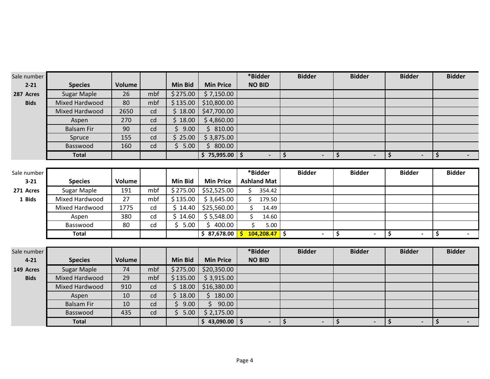| Sale number |                    |               |     |                |                  | *Bidder                         | <b>Bidder</b>        | <b>Bidder</b>        | <b>Bidder</b>                  | <b>Bidder</b> |
|-------------|--------------------|---------------|-----|----------------|------------------|---------------------------------|----------------------|----------------------|--------------------------------|---------------|
| $2 - 21$    | <b>Species</b>     | <b>Volume</b> |     | <b>Min Bid</b> | <b>Min Price</b> | <b>NO BID</b>                   |                      |                      |                                |               |
| 287 Acres   | <b>Sugar Maple</b> | 26            | mbf | \$275.00       | \$7,150.00       |                                 |                      |                      |                                |               |
| <b>Bids</b> | Mixed Hardwood     | 80            | mbf | \$135.00       | \$10,800.00      |                                 |                      |                      |                                |               |
|             | Mixed Hardwood     | 2650          | cd  | \$18.00        | \$47,700.00      |                                 |                      |                      |                                |               |
|             | Aspen              | 270           | cd  | \$18.00        | \$4,860.00       |                                 |                      |                      |                                |               |
|             | <b>Balsam Fir</b>  | 90            | cd  | \$9.00         | \$810.00         |                                 |                      |                      |                                |               |
|             | Spruce             | 155           | cd  | \$25.00        | \$3,875.00       |                                 |                      |                      |                                |               |
|             | Basswood           | 160           | cd  | \$5.00         | \$800.00         |                                 |                      |                      |                                |               |
|             | <b>Total</b>       |               |     |                | $$75,995.00$ $$$ |                                 | \$<br>$\blacksquare$ | \$<br>$\blacksquare$ | \$                             | \$            |
|             |                    |               |     |                |                  |                                 |                      |                      |                                |               |
| Sale number |                    |               |     |                |                  | *Bidder                         | <b>Bidder</b>        | <b>Bidder</b>        | <b>Bidder</b>                  | <b>Bidder</b> |
| $3 - 21$    | <b>Species</b>     | Volume        |     | <b>Min Bid</b> | <b>Min Price</b> | <b>Ashland Mat</b>              |                      |                      |                                |               |
| 271 Acres   | <b>Sugar Maple</b> | 191           | mbf | \$275.00       | \$52,525.00      | \$<br>354.42                    |                      |                      |                                |               |
| 1 Bids      | Mixed Hardwood     | 27            | mbf | \$135.00       | \$3,645.00       | \$<br>179.50                    |                      |                      |                                |               |
|             | Mixed Hardwood     | 1775          | cd  | \$14.40        | \$25,560.00      | \$<br>14.49                     |                      |                      |                                |               |
|             | Aspen              | 380           | cd  | \$14.60        | \$5,548.00       | \$<br>14.60                     |                      |                      |                                |               |
|             | Basswood           | 80            | cd  | \$5.00         | \$400.00         | \$<br>5.00                      |                      |                      |                                |               |
|             | <b>Total</b>       |               |     |                | \$37,678.00      | $104,208.47$ \$<br>$\mathsf{s}$ | $\sim$               | \$<br>$\blacksquare$ | \$<br>$\overline{\phantom{a}}$ | \$            |
|             |                    |               |     |                |                  |                                 |                      |                      |                                |               |
| Sale number |                    |               |     |                |                  | *Bidder                         | <b>Bidder</b>        | <b>Bidder</b>        | <b>Bidder</b>                  | <b>Bidder</b> |
| $4 - 21$    | <b>Species</b>     | Volume        |     | <b>Min Bid</b> | <b>Min Price</b> | <b>NO BID</b>                   |                      |                      |                                |               |
| 149 Acres   | Sugar Maple        | 74            | mbf | \$275.00       | \$20,350.00      |                                 |                      |                      |                                |               |
| <b>Bids</b> | Mixed Hardwood     | 29            | mbf | \$135.00       | \$3,915.00       |                                 |                      |                      |                                |               |
|             | Mixed Hardwood     | 910           | cd  | \$18.00        | \$16,380.00      |                                 |                      |                      |                                |               |
|             | Aspen              | 10            | cd  | \$18.00        | Ś.<br>180.00     |                                 |                      |                      |                                |               |
|             | <b>Balsam Fir</b>  | 10            | cd  | \$<br>9.00     | \$<br>90.00      |                                 |                      |                      |                                |               |
|             | Basswood           | 435           | cd  | \$5.00         | \$2,175.00       |                                 |                      |                      |                                |               |
|             | <b>Total</b>       |               |     |                | $$43,090.00$ $$$ | $\blacksquare$                  | \$<br>$\blacksquare$ | \$<br>$\blacksquare$ | \$<br>$\blacksquare$           | \$            |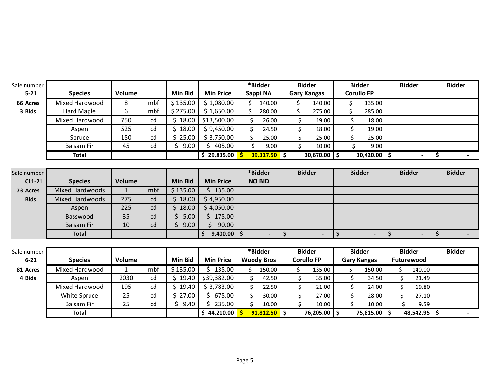| Sale number |                        |              |     |                 |                       |    | *Bidder           | <b>Bidder</b> |                    | <b>Bidder</b> |                    | <b>Bidder</b> |               | <b>Bidder</b> |
|-------------|------------------------|--------------|-----|-----------------|-----------------------|----|-------------------|---------------|--------------------|---------------|--------------------|---------------|---------------|---------------|
| $5 - 21$    | <b>Species</b>         | Volume       |     | <b>Min Bid</b>  | <b>Min Price</b>      |    | Sappi NA          |               | <b>Gary Kangas</b> |               | <b>Corullo FP</b>  |               |               |               |
| 66 Acres    | Mixed Hardwood         | 8            | mbf | \$135.00        | \$1,080.00            | Ś. | 140.00            |               | 140.00<br>Ś.       | \$            | 135.00             |               |               |               |
| 3 Bids      | <b>Hard Maple</b>      | 6            | mbf | \$275.00        | \$1,650.00            | \$ | 280.00            |               | \$<br>275.00       | \$            | 285.00             |               |               |               |
|             | Mixed Hardwood         | 750          | cd  | \$18.00         | \$13,500.00           | \$ | 26.00             |               | \$<br>19.00        |               | \$<br>18.00        |               |               |               |
|             | Aspen                  | 525          | cd  | \$18.00         | \$9,450.00            | \$ | 24.50             |               | \$<br>18.00        |               | Ś.<br>19.00        |               |               |               |
|             | Spruce                 | 150          | cd  | \$25.00         | \$3,750.00            | Ś. | 25.00             |               | \$<br>25.00        |               | Ś<br>25.00         |               |               |               |
|             | <b>Balsam Fir</b>      | 45           | cd  | \$9.00          | \$405.00              | Ś. | 9.00              |               | Ś.<br>10.00        |               | Ś<br>9.00          |               |               |               |
|             | <b>Total</b>           |              |     |                 | \$29,835.00           |    | $39,317.50$ \$    |               | 30,670.00          | \$ ا          | $30,420.00$ \$     |               |               | \$            |
|             |                        |              |     |                 |                       |    |                   |               |                    |               |                    |               |               |               |
| Sale number |                        |              |     |                 |                       |    | *Bidder           |               | <b>Bidder</b>      |               | <b>Bidder</b>      |               | <b>Bidder</b> | <b>Bidder</b> |
| CL1-21      | <b>Species</b>         | Volume       |     | <b>Min Bid</b>  | <b>Min Price</b>      |    | <b>NO BID</b>     |               |                    |               |                    |               |               |               |
| 73 Acres    | <b>Mixed Hardwoods</b> | $\mathbf{1}$ | mbf | \$135.00        | \$135.00              |    |                   |               |                    |               |                    |               |               |               |
| <b>Bids</b> | <b>Mixed Hardwoods</b> | 275          | cd  | \$18.00         | \$4,950.00            |    |                   |               |                    |               |                    |               |               |               |
|             | Aspen                  | 225          | cd  | \$18.00         | \$4,050.00            |    |                   |               |                    |               |                    |               |               |               |
|             | Basswood               | 35           | cd  | $\zeta$<br>5.00 | Ś.<br>175.00          |    |                   |               |                    |               |                    |               |               |               |
|             | <b>Balsam Fir</b>      | 10           | cd  | \$<br>9.00      | \$.<br>90.00          |    |                   |               |                    |               |                    |               |               |               |
|             | <b>Total</b>           |              |     |                 | Ŝ.<br>$9,400.00$   \$ |    | $\blacksquare$    | \$            |                    | \$            | $\blacksquare$     | \$            |               | \$            |
|             |                        |              |     |                 |                       |    |                   |               |                    |               |                    |               |               |               |
| Sale number |                        |              |     |                 |                       |    | *Bidder           |               | <b>Bidder</b>      |               | <b>Bidder</b>      |               | <b>Bidder</b> | <b>Bidder</b> |
| $6 - 21$    | <b>Species</b>         | Volume       |     | <b>Min Bid</b>  | <b>Min Price</b>      |    | <b>Woody Bros</b> |               | <b>Corullo FP</b>  |               | <b>Gary Kangas</b> |               | Futurewood    |               |
| 81 Acres    | Mixed Hardwood         | $\mathbf{1}$ | mbf | \$135.00        | \$135.00              | \$ | 150.00            |               | 135.00<br>\$       | \$            | 150.00             | \$            | 140.00        |               |
| 4 Bids      | Aspen                  | 2030         | cd  | \$19.40         | \$39,382.00           | \$ | 42.50             |               | \$<br>35.00        | \$            | 34.50              | \$            | 21.49         |               |
|             | Mixed Hardwood         | 195          | cd  | \$19.40         | \$3,783.00            | \$ | 22.50             |               | \$<br>21.00        |               | \$<br>24.00        | \$            | 19.80         |               |
|             | White Spruce           | 25           | cd  | \$27.00         | \$675.00              | \$ | 30.00             |               | \$<br>27.00        |               | \$<br>28.00        | Ś.            | 27.10         |               |
|             | <b>Balsam Fir</b>      | 25           | cd  | \$<br>9.40      | Ŝ.<br>235.00          | \$ | 10.00             |               | \$<br>10.00        |               | Ś<br>10.00         |               | 9.59          |               |
|             | <b>Total</b>           |              |     |                 | \$44,210.00           |    | $91,812.50$ \$    |               | 76,205.00          | l \$          | 75,815.00 \$       |               | 48,542.95 \$  |               |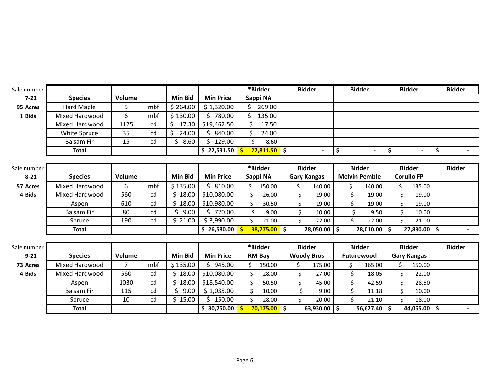| Sale number |                   |        |     |                |                                       |              | *Bidder        | <b>Bidder</b>      |                |         | <b>Bidder</b>        |            | <b>Bidder</b>      | <b>Bidder</b> |
|-------------|-------------------|--------|-----|----------------|---------------------------------------|--------------|----------------|--------------------|----------------|---------|----------------------|------------|--------------------|---------------|
| $7 - 21$    | <b>Species</b>    | Volume |     | <b>Min Bid</b> | <b>Min Price</b>                      |              | Sappi NA       |                    |                |         |                      |            |                    |               |
| 95 Acres    | <b>Hard Maple</b> | 5      | mbf | \$264.00       | \$1,320.00                            | \$.          | 269.00         |                    |                |         |                      |            |                    |               |
| 1 Bids      | Mixed Hardwood    | 6      | mbf | \$130.00       | 780.00<br>Ś.                          |              | 135.00         |                    |                |         |                      |            |                    |               |
|             | Mixed Hardwood    | 1125   | cd  | Ŝ.<br>17.30    | \$19,462.50                           | Ś.           | 17.50          |                    |                |         |                      |            |                    |               |
|             | White Spruce      | 35     | cd  | Ś<br>24.00     | 840.00                                | \$           | 24.00          |                    |                |         |                      |            |                    |               |
|             | <b>Balsam Fir</b> | 15     | cd  | 8.60           | Ś<br>129.00                           |              | Ś<br>8.60      |                    |                |         |                      |            |                    |               |
|             | <b>Total</b>      |        |     |                | $\frac{1}{5}$ 22,531.50 $\frac{1}{5}$ |              | $22,811.50$ \$ |                    |                | \$      | $\blacksquare$       | \$         |                    | \$            |
|             |                   |        |     |                |                                       |              |                |                    |                |         |                      |            |                    |               |
| Sale number |                   |        |     |                |                                       |              | *Bidder        | <b>Bidder</b>      |                |         | <b>Bidder</b>        |            | <b>Bidder</b>      | <b>Bidder</b> |
| $8 - 21$    | <b>Species</b>    | Volume |     | <b>Min Bid</b> | <b>Min Price</b>                      |              | Sappi NA       | <b>Gary Kangas</b> |                |         | <b>Melvin Pemble</b> |            | <b>Corullo FP</b>  |               |
| 57 Acres    | Mixed Hardwood    | 6      | mbf | \$135.00       | 810.00<br>Ŝ.                          | Ś.           | 150.00         | Ś.                 | 140.00         | \$      | 140.00               | Ś.         | 135.00             |               |
| 4 Bids      | Mixed Hardwood    | 560    | cd  | Ś.<br>18.00    | \$10,080.00                           | \$           | 26.00          | \$                 | 19.00          | \$      | 19.00                | \$         | 19.00              |               |
|             | Aspen             | 610    | cd  | Ś.<br>18.00    | \$10,980.00                           | \$           | 30.50          | \$                 | 19.00          | \$      | 19.00                | \$         | 19.00              |               |
|             | <b>Balsam Fir</b> | 80     | cd  | Ś.<br>9.00     | 720.00<br>\$.                         |              | \$<br>9.00     | \$                 | 10.00          | \$      | 9.50                 | \$         | 10.00              |               |
|             | Spruce            | 190    | cd  | \$21.00        | \$3,990.00                            | \$           | 21.00          | \$                 | 22.00          | \$      | 22.00                | \$         | 21.00              |               |
|             | <b>Total</b>      |        |     |                | \$26,580.00                           | $\mathsf{s}$ | $38,775.00$ \$ |                    | $28,050.00$ \$ |         | 28,010.00            | $\vert$ \$ | $27,830.00$ \$     |               |
|             |                   |        |     |                |                                       |              |                |                    |                |         |                      |            |                    |               |
| Sale number |                   |        |     |                |                                       |              | *Bidder        | <b>Bidder</b>      |                |         | <b>Bidder</b>        |            | <b>Bidder</b>      | <b>Bidder</b> |
| $9 - 21$    | <b>Species</b>    | Volume |     | <b>Min Bid</b> | <b>Min Price</b>                      |              | <b>RM Bay</b>  | <b>Woody Bros</b>  |                |         | Futurewood           |            | <b>Gary Kangas</b> |               |
| 73 Acres    | Mixed Hardwood    | 7      | mbf | \$135.00       | 945.00<br>\$.                         | Ś.           | 150.00         | Ś.                 | 175.00         | \$.     | 165.00               | Ś.         | 150.00             |               |
| 4 Bids      | Mixed Hardwood    | 560    | cd  | Ś.<br>18.00    | \$10,080.00                           | \$           | 28.00          | \$                 | 27.00          | \$      | 18.05                | \$         | 22.00              |               |
|             | Aspen             | 1030   | cd  | 18.00<br>Ś.    | \$18,540.00                           | \$           | 50.50          | \$                 | 45.00          | \$      | 42.59                | \$         | 28.50              |               |
|             | <b>Balsam Fir</b> | 115    | cd  | 9.00           | \$1,035.00                            | \$           | 10.00          | \$                 | 9.00           | \$      | 11.18                | \$         | 10.00              |               |
|             | Spruce            | 10     | cd  | \$15.00        | 150.00<br>\$.                         | \$           | 28.00          | Ś.                 | 20.00          | $\zeta$ | 21.10                | \$         | 18.00              |               |
|             | <b>Total</b>      |        |     |                | \$30,750.00                           | -\$          | $70,175.00$ \$ |                    | $63,930.00$ \$ |         | 56,627.40 \$         |            | 44,055.00 \$       |               |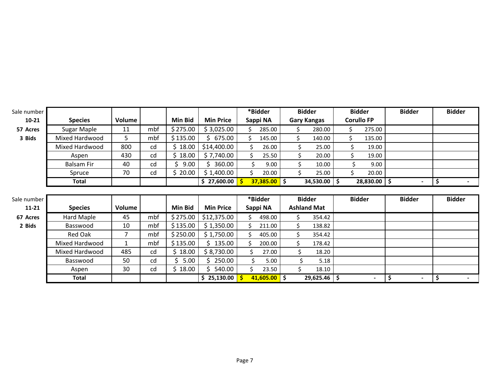| Sale number |                   |              |     |            |                  |    | *Bidder        | <b>Bidder</b>      |                |    | <b>Bidder</b>             | <b>Bidder</b> | <b>Bidder</b> |
|-------------|-------------------|--------------|-----|------------|------------------|----|----------------|--------------------|----------------|----|---------------------------|---------------|---------------|
| $10 - 21$   | <b>Species</b>    | Volume       |     | Min Bid    | <b>Min Price</b> |    | Sappi NA       | <b>Gary Kangas</b> |                |    | <b>Corullo FP</b>         |               |               |
| 57 Acres    | Sugar Maple       | 11           | mbf | \$275.00   | \$3,025.00       |    | 285.00         |                    | 280.00         | \$ | 275.00                    |               |               |
| 3 Bids      | Mixed Hardwood    | 5            | mbf | \$135.00   | \$675.00         | Ś  | 145.00         | \$                 | 140.00         | \$ | 135.00                    |               |               |
|             | Mixed Hardwood    | 800          | cd  | \$18.00    | \$14,400.00      | \$ | 26.00          | \$                 | 25.00          | Ś. | 19.00                     |               |               |
|             | Aspen             | 430          | cd  | \$18.00    | \$7,740.00       | Ś  | 25.50          | \$                 | 20.00          |    | 19.00                     |               |               |
|             | <b>Balsam Fir</b> | 40           | cd  | 9.00       | 360.00           |    | 9.00           | \$                 | 10.00          |    | 9.00                      |               |               |
|             | Spruce            | 70           | cd  | \$20.00    | \$1,400.00       | Ś  | 20.00          |                    | 25.00          |    | 20.00                     |               |               |
|             | Total             |              |     |            | \$27,600.00      |    | $37,385.00$ \$ |                    | $34,530.00$ \$ |    | $\overline{28,830.00}$ \$ |               | \$            |
|             |                   |              |     |            |                  |    |                |                    |                |    |                           |               |               |
|             |                   |              |     |            |                  |    |                |                    |                |    |                           |               |               |
| Sale number |                   |              |     |            |                  |    | *Bidder        | <b>Bidder</b>      |                |    | <b>Bidder</b>             | <b>Bidder</b> | <b>Bidder</b> |
| $11 - 21$   | <b>Species</b>    | Volume       |     | Min Bid    | <b>Min Price</b> |    | Sappi NA       | <b>Ashland Mat</b> |                |    |                           |               |               |
| 67 Acres    | Hard Maple        | 45           | mbf | \$275.00   | \$12,375.00      | Ś. | 498.00         |                    | 354.42         |    |                           |               |               |
| 2 Bids      | Basswood          | 10           | mbf | \$135.00   | \$1,350.00       | Ś  | 211.00         | Ś                  | 138.82         |    |                           |               |               |
|             | Red Oak           | 7            | mbf | \$250.00   | \$1,750.00       |    | 405.00         | \$                 | 354.42         |    |                           |               |               |
|             | Mixed Hardwood    | $\mathbf{1}$ | mbf | \$135.00   | 135.00           | Ś. | 200.00         | Ś.                 | 178.42         |    |                           |               |               |
|             | Mixed Hardwood    | 485          | cd  | \$18.00    | \$8,730.00       | Ś  | 27.00          | \$                 | 18.20          |    |                           |               |               |
|             | Basswood          | 50           | cd  | Ś.<br>5.00 | 250.00           | Ś. | 5.00           | Ś                  | 5.18           |    |                           |               |               |
|             | Aspen             | 30           | cd  | \$18.00    | 540.00           | Ś  | 23.50          | Ś.                 | 18.10          |    |                           |               |               |